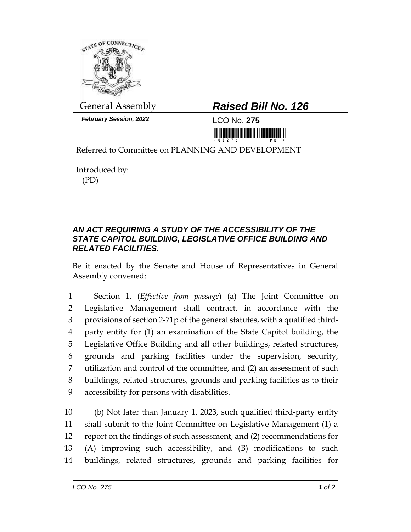

*February Session, 2022* LCO No. **275**

## General Assembly *Raised Bill No. 126*

<u>ni kitik kitik ka kutan mundi dina i</u>

Referred to Committee on PLANNING AND DEVELOPMENT

Introduced by: (PD)

## *AN ACT REQUIRING A STUDY OF THE ACCESSIBILITY OF THE STATE CAPITOL BUILDING, LEGISLATIVE OFFICE BUILDING AND RELATED FACILITIES.*

Be it enacted by the Senate and House of Representatives in General Assembly convened:

 Section 1. (*Effective from passage*) (a) The Joint Committee on Legislative Management shall contract, in accordance with the provisions of section 2-71p of the general statutes, with a qualified third- party entity for (1) an examination of the State Capitol building, the Legislative Office Building and all other buildings, related structures, grounds and parking facilities under the supervision, security, utilization and control of the committee, and (2) an assessment of such buildings, related structures, grounds and parking facilities as to their accessibility for persons with disabilities.

 (b) Not later than January 1, 2023, such qualified third-party entity shall submit to the Joint Committee on Legislative Management (1) a report on the findings of such assessment, and (2) recommendations for (A) improving such accessibility, and (B) modifications to such buildings, related structures, grounds and parking facilities for